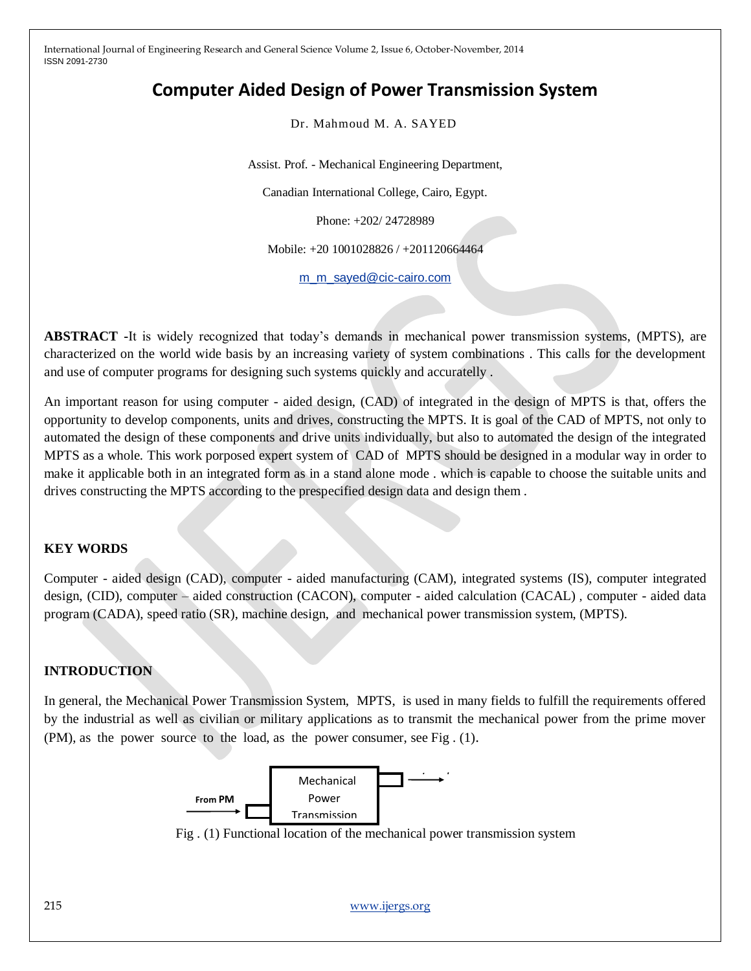# **Computer Aided Design of Power Transmission System**

Dr. Mahmoud M. A. SAYED

Assist. Prof. - Mechanical Engineering Department,

Canadian International College, Cairo, Egypt.

Phone: +202/ 24728989

Mobile: +20 1001028826 / +201120664464

[m\\_m\\_sayed@cic-cairo.com](mailto:m_m_sayed@cic-cairo.com)

**ABSTRACT -**It is widely recognized that today's demands in mechanical power transmission systems, (MPTS), are characterized on the world wide basis by an increasing variety of system combinations . This calls for the development and use of computer programs for designing such systems quickly and accuratelly .

An important reason for using computer - aided design, (CAD) of integrated in the design of MPTS is that, offers the opportunity to develop components, units and drives, constructing the MPTS. It is goal of the CAD of MPTS, not only to automated the design of these components and drive units individually, but also to automated the design of the integrated MPTS as a whole. This work porposed expert system of CAD of MPTS should be designed in a modular way in order to make it applicable both in an integrated form as in a stand alone mode . which is capable to choose the suitable units and drives constructing the MPTS according to the prespecified design data and design them .

## **KEY WORDS**

Computer - aided design (CAD), computer - aided manufacturing (CAM), integrated systems (IS), computer integrated design, (CID), computer – aided construction (CACON), computer - aided calculation (CACAL) , computer - aided data program (CADA), speed ratio (SR), machine design, and mechanical power transmission system, (MPTS).

## **INTRODUCTION**

In general, the Mechanical Power Transmission System, MPTS, is used in many fields to fulfill the requirements offered by the industrial as well as civilian or military applications as to transmit the mechanical power from the prime mover (PM), as the power source to the load, as the power consumer, see Fig . (1).



Fig. (1) Functional location of the mechanical power transmission system

215 [www.ijergs.org](http://www.ijergs.org/)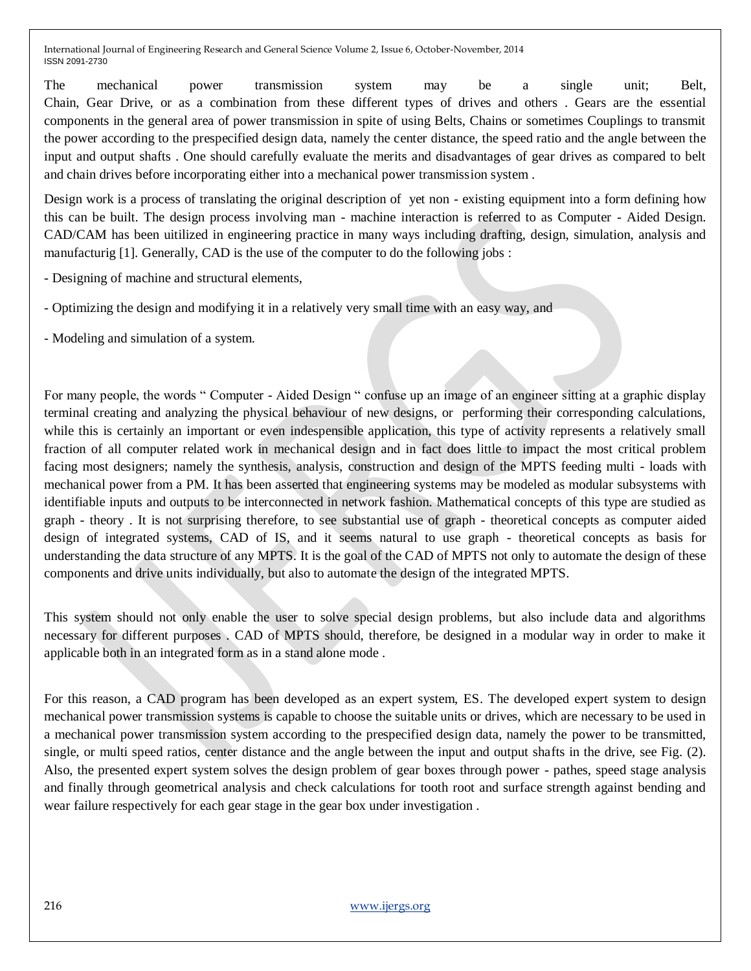The mechanical power transmission system may be a single unit; Belt, Chain, Gear Drive, or as a combination from these different types of drives and others . Gears are the essential components in the general area of power transmission in spite of using Belts, Chains or sometimes Couplings to transmit the power according to the prespecified design data, namely the center distance, the speed ratio and the angle between the input and output shafts . One should carefully evaluate the merits and disadvantages of gear drives as compared to belt and chain drives before incorporating either into a mechanical power transmission system .

Design work is a process of translating the original description of yet non - existing equipment into a form defining how this can be built. The design process involving man - machine interaction is referred to as Computer - Aided Design. CAD/CAM has been uitilized in engineering practice in many ways including drafting, design, simulation, analysis and manufacturig [1]. Generally, CAD is the use of the computer to do the following jobs :

- Designing of machine and structural elements,

- Optimizing the design and modifying it in a relatively very small time with an easy way, and

- Modeling and simulation of a system.

For many people, the words " Computer - Aided Design " confuse up an image of an engineer sitting at a graphic display terminal creating and analyzing the physical behaviour of new designs, or performing their corresponding calculations, while this is certainly an important or even indespensible application, this type of activity represents a relatively small fraction of all computer related work in mechanical design and in fact does little to impact the most critical problem facing most designers; namely the synthesis, analysis, construction and design of the MPTS feeding multi - loads with mechanical power from a PM. It has been asserted that engineering systems may be modeled as modular subsystems with identifiable inputs and outputs to be interconnected in network fashion. Mathematical concepts of this type are studied as graph - theory . It is not surprising therefore, to see substantial use of graph - theoretical concepts as computer aided design of integrated systems, CAD of IS, and it seems natural to use graph - theoretical concepts as basis for understanding the data structure of any MPTS. It is the goal of the CAD of MPTS not only to automate the design of these components and drive units individually, but also to automate the design of the integrated MPTS.

This system should not only enable the user to solve special design problems, but also include data and algorithms necessary for different purposes . CAD of MPTS should, therefore, be designed in a modular way in order to make it applicable both in an integrated form as in a stand alone mode .

For this reason, a CAD program has been developed as an expert system, ES. The developed expert system to design mechanical power transmission systems is capable to choose the suitable units or drives, which are necessary to be used in a mechanical power transmission system according to the prespecified design data, namely the power to be transmitted, single, or multi speed ratios, center distance and the angle between the input and output shafts in the drive, see Fig. (2). Also, the presented expert system solves the design problem of gear boxes through power - pathes, speed stage analysis and finally through geometrical analysis and check calculations for tooth root and surface strength against bending and wear failure respectively for each gear stage in the gear box under investigation .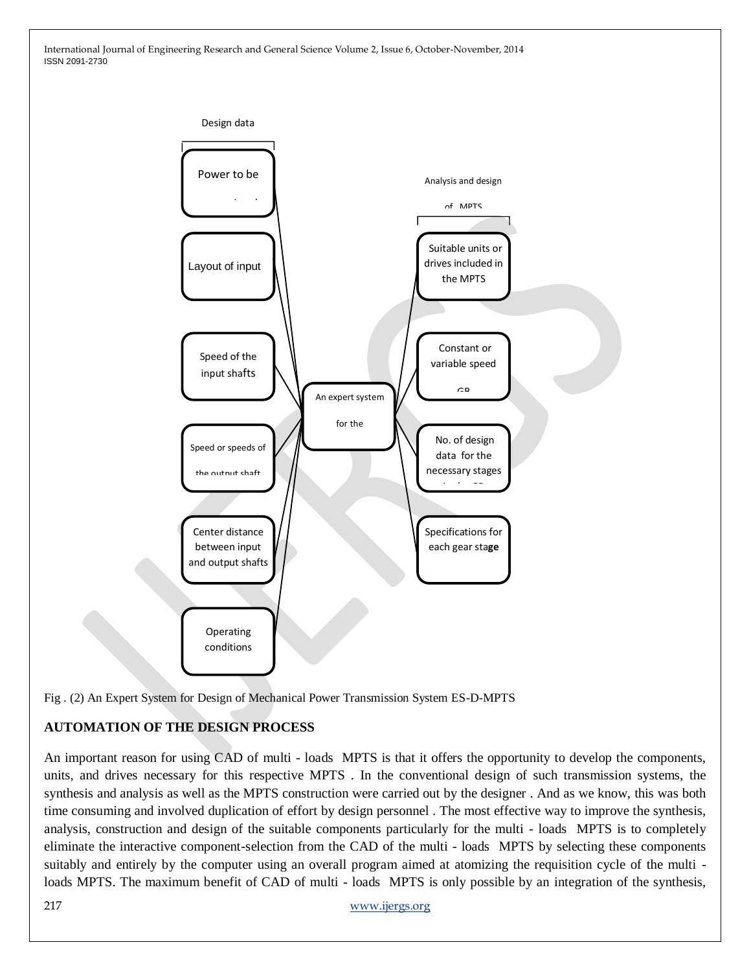

Fig . (2) An Expert System for Design of Mechanical Power Transmission System ES-D-MPTS

## **AUTOMATION OF THE DESIGN PROCESS**

An important reason for using CAD of multi - loads MPTS is that it offers the opportunity to develop the components, units, and drives necessary for this respective MPTS . In the conventional design of such transmission systems, the synthesis and analysis as well as the MPTS construction were carried out by the designer . And as we know, this was both time consuming and involved duplication of effort by design personnel . The most effective way to improve the synthesis, analysis, construction and design of the suitable components particularly for the multi - loads MPTS is to completely eliminate the interactive component-selection from the CAD of the multi - loads MPTS by selecting these components suitably and entirely by the computer using an overall program aimed at atomizing the requisition cycle of the multi loads MPTS. The maximum benefit of CAD of multi - loads MPTS is only possible by an integration of the synthesis,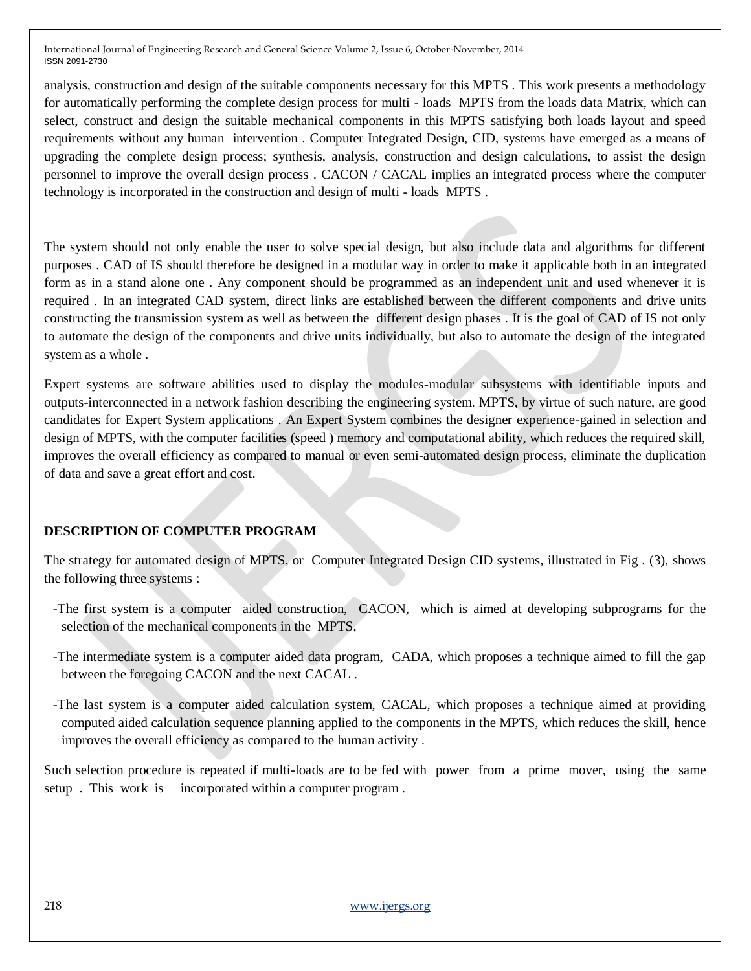analysis, construction and design of the suitable components necessary for this MPTS . This work presents a methodology for automatically performing the complete design process for multi - loads MPTS from the loads data Matrix, which can select, construct and design the suitable mechanical components in this MPTS satisfying both loads layout and speed requirements without any human intervention . Computer Integrated Design, CID, systems have emerged as a means of upgrading the complete design process; synthesis, analysis, construction and design calculations, to assist the design personnel to improve the overall design process . CACON / CACAL implies an integrated process where the computer technology is incorporated in the construction and design of multi - loads MPTS .

The system should not only enable the user to solve special design, but also include data and algorithms for different purposes . CAD of IS should therefore be designed in a modular way in order to make it applicable both in an integrated form as in a stand alone one . Any component should be programmed as an independent unit and used whenever it is required . In an integrated CAD system, direct links are established between the different components and drive units constructing the transmission system as well as between the different design phases . It is the goal of CAD of IS not only to automate the design of the components and drive units individually, but also to automate the design of the integrated system as a whole .

Expert systems are software abilities used to display the modules-modular subsystems with identifiable inputs and outputs-interconnected in a network fashion describing the engineering system. MPTS, by virtue of such nature, are good candidates for Expert System applications . An Expert System combines the designer experience-gained in selection and design of MPTS, with the computer facilities (speed ) memory and computational ability, which reduces the required skill, improves the overall efficiency as compared to manual or even semi-automated design process, eliminate the duplication of data and save a great effort and cost.

## **DESCRIPTION OF COMPUTER PROGRAM**

The strategy for automated design of MPTS, or Computer Integrated Design CID systems, illustrated in Fig . (3), shows the following three systems :

- -The first system is a computer aided construction, CACON, which is aimed at developing subprograms for the selection of the mechanical components in the MPTS,
- -The intermediate system is a computer aided data program, CADA, which proposes a technique aimed to fill the gap between the foregoing CACON and the next CACAL .
- -The last system is a computer aided calculation system, CACAL, which proposes a technique aimed at providing computed aided calculation sequence planning applied to the components in the MPTS, which reduces the skill, hence improves the overall efficiency as compared to the human activity .

Such selection procedure is repeated if multi-loads are to be fed with power from a prime mover, using the same setup . This work is incorporated within a computer program .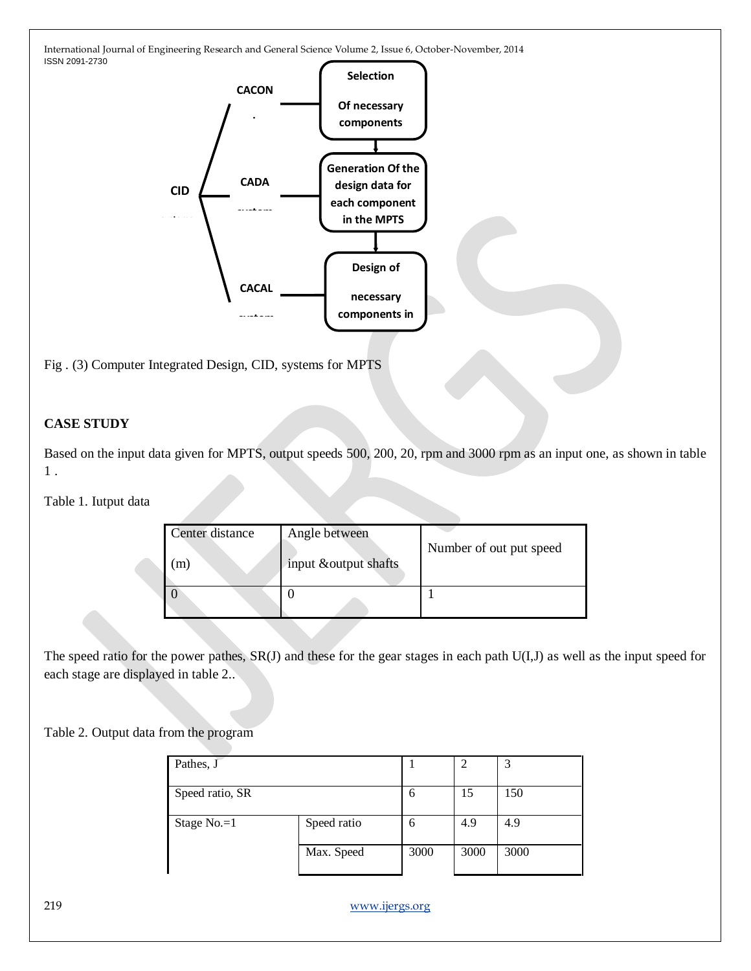

Fig . (3) Computer Integrated Design, CID, systems for MPTS

## **CASE STUDY**

Based on the input data given for MPTS, output speeds 500, 200, 20, rpm and 3000 rpm as an input one, as shown in table 1 .

Table 1. Iutput data

| Center distance<br>m) | Angle between<br>input & output shafts | Number of out put speed |
|-----------------------|----------------------------------------|-------------------------|
|                       |                                        |                         |

The speed ratio for the power pathes, SR(J) and these for the gear stages in each path U(I,J) as well as the input speed for each stage are displayed in table 2..

Table 2. Output data from the program

| Pathes, J       |             |      | 2    |      |
|-----------------|-------------|------|------|------|
| Speed ratio, SR |             | 6    | 15   | 150  |
| Stage $No.=1$   | Speed ratio | 6    | 4.9  | 4.9  |
|                 | Max. Speed  | 3000 | 3000 | 3000 |

219 [www.ijergs.org](http://www.ijergs.org/)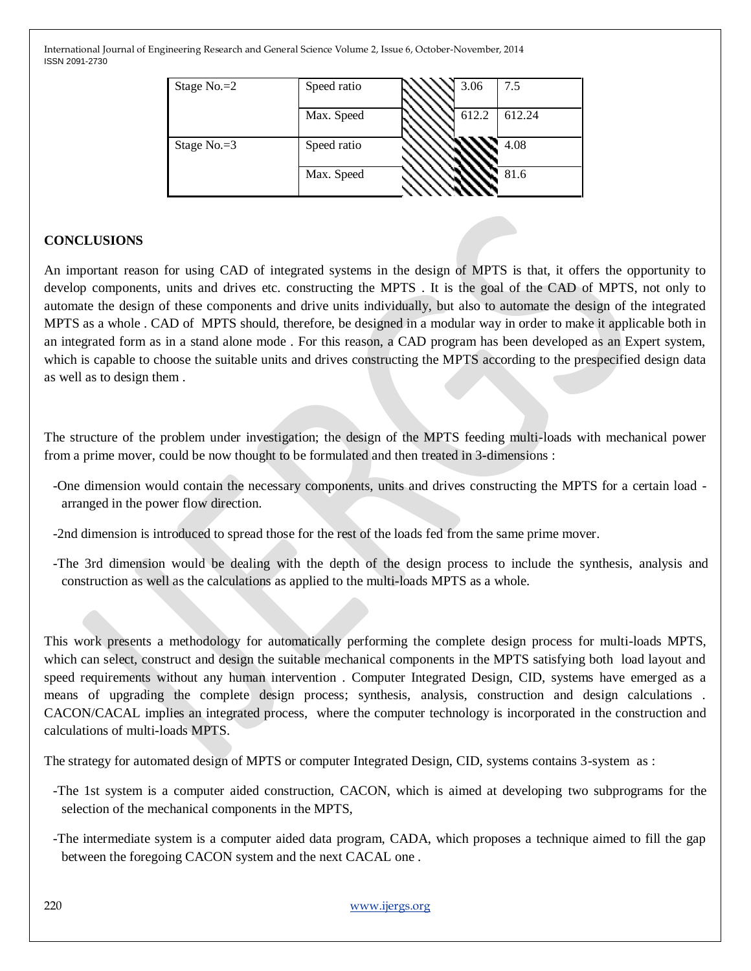| Stage $No.=2$ | Speed ratio | 3.06  | 7.5    |
|---------------|-------------|-------|--------|
|               | Max. Speed  | 612.2 | 612.24 |
| Stage No.=3   | Speed ratio |       | 4.08   |
|               | Max. Speed  |       | 81.6   |

## **CONCLUSIONS**

An important reason for using CAD of integrated systems in the design of MPTS is that, it offers the opportunity to develop components, units and drives etc. constructing the MPTS . It is the goal of the CAD of MPTS, not only to automate the design of these components and drive units individually, but also to automate the design of the integrated MPTS as a whole . CAD of MPTS should, therefore, be designed in a modular way in order to make it applicable both in an integrated form as in a stand alone mode . For this reason, a CAD program has been developed as an Expert system, which is capable to choose the suitable units and drives constructing the MPTS according to the prespecified design data as well as to design them .

The structure of the problem under investigation; the design of the MPTS feeding multi-loads with mechanical power from a prime mover, could be now thought to be formulated and then treated in 3-dimensions :

- -One dimension would contain the necessary components, units and drives constructing the MPTS for a certain load arranged in the power flow direction.
- -2nd dimension is introduced to spread those for the rest of the loads fed from the same prime mover.
- -The 3rd dimension would be dealing with the depth of the design process to include the synthesis, analysis and construction as well as the calculations as applied to the multi-loads MPTS as a whole.

This work presents a methodology for automatically performing the complete design process for multi-loads MPTS, which can select, construct and design the suitable mechanical components in the MPTS satisfying both load layout and speed requirements without any human intervention . Computer Integrated Design, CID, systems have emerged as a means of upgrading the complete design process; synthesis, analysis, construction and design calculations . CACON/CACAL implies an integrated process, where the computer technology is incorporated in the construction and calculations of multi-loads MPTS.

The strategy for automated design of MPTS or computer Integrated Design, CID, systems contains 3-system as :

- -The 1st system is a computer aided construction, CACON, which is aimed at developing two subprograms for the selection of the mechanical components in the MPTS,
- -The intermediate system is a computer aided data program, CADA, which proposes a technique aimed to fill the gap between the foregoing CACON system and the next CACAL one .